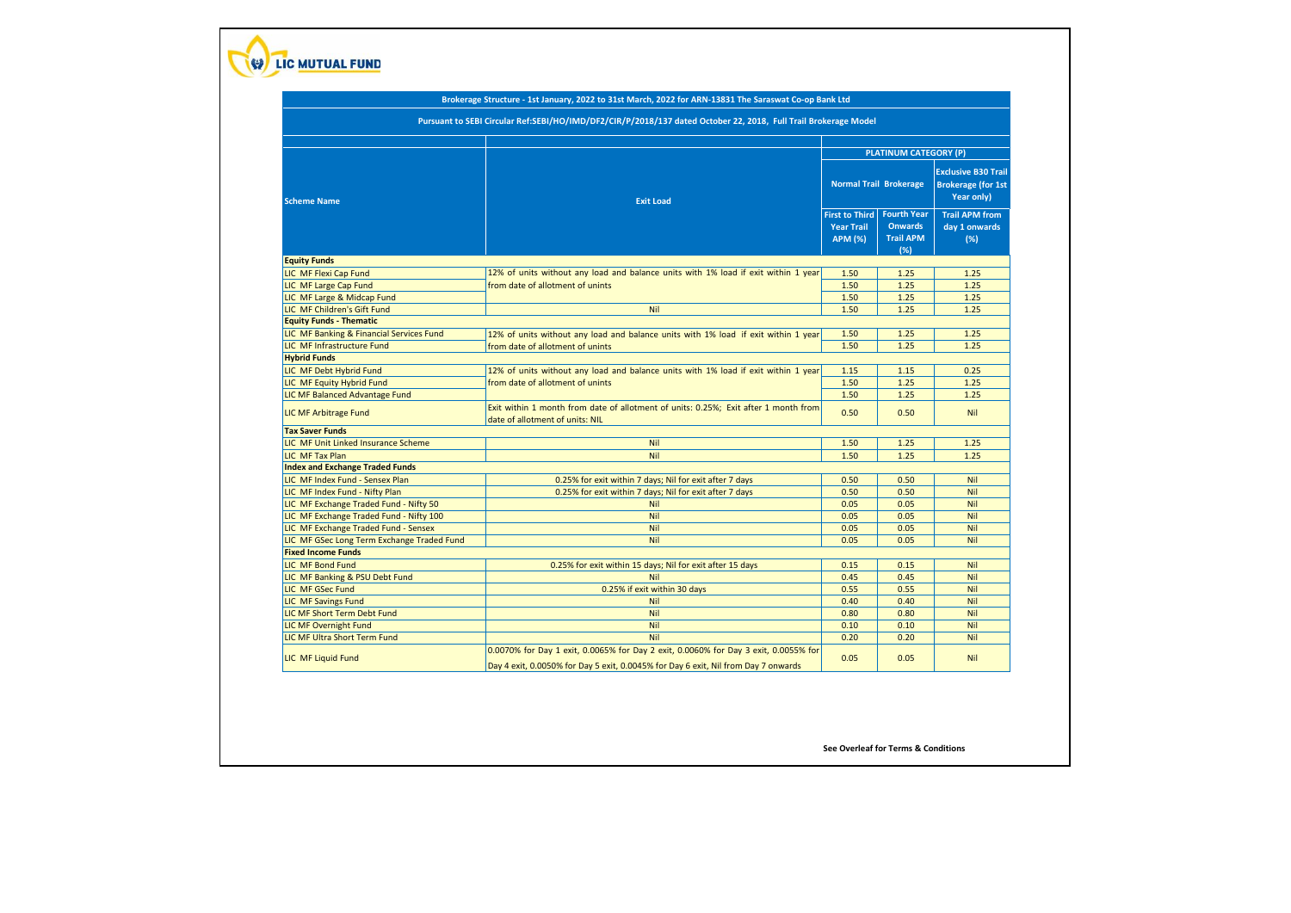

## **Brokerage Structure - 1st January, 2022 to 31st March, 2022 for ARN-13831 The Saraswat Co-op Bank Ltd**

 **Pursuant to SEBI Circular Ref:SEBI/HO/IMD/DF2/CIR/P/2018/137 dated October 22, 2018, Full Trail Brokerage Model** 

| <b>Scheme Name</b>                         | <b>Exit Load</b>                                                                                                       | <b>PLATINUM CATEGORY (P)</b>                                 |                                                                 |                                                                       |
|--------------------------------------------|------------------------------------------------------------------------------------------------------------------------|--------------------------------------------------------------|-----------------------------------------------------------------|-----------------------------------------------------------------------|
|                                            |                                                                                                                        | <b>Normal Trail Brokerage</b>                                |                                                                 | <b>Exclusive B30 Trail</b><br><b>Brokerage (for 1st</b><br>Year only) |
|                                            |                                                                                                                        | <b>First to Third</b><br><b>Year Trail</b><br><b>APM (%)</b> | <b>Fourth Year</b><br><b>Onwards</b><br><b>Trail APM</b><br>(%) | <b>Trail APM from</b><br>day 1 onwards<br>(%)                         |
| <b>Equity Funds</b>                        |                                                                                                                        |                                                              |                                                                 |                                                                       |
| LIC MF Flexi Cap Fund                      | 12% of units without any load and balance units with 1% load if exit within 1 year                                     | 1.50                                                         | 1.25                                                            | 1.25                                                                  |
| LIC MF Large Cap Fund                      | from date of allotment of unints                                                                                       | 1.50                                                         | 1.25                                                            | 1.25                                                                  |
| LIC MF Large & Midcap Fund                 |                                                                                                                        | 1.50                                                         | 1.25                                                            | 1.25                                                                  |
| LIC MF Children's Gift Fund                | Nil                                                                                                                    | 1.50                                                         | 1.25                                                            | 1.25                                                                  |
| <b>Equity Funds - Thematic</b>             |                                                                                                                        |                                                              |                                                                 |                                                                       |
| LIC MF Banking & Financial Services Fund   | 12% of units without any load and balance units with 1% load if exit within 1 year                                     | 1.50                                                         | 1.25                                                            | 1.25                                                                  |
| LIC MF Infrastructure Fund                 | from date of allotment of unints                                                                                       | 1.50                                                         | 1.25                                                            | 1.25                                                                  |
| <b>Hybrid Funds</b>                        |                                                                                                                        |                                                              |                                                                 |                                                                       |
| LIC MF Debt Hybrid Fund                    | 12% of units without any load and balance units with 1% load if exit within 1 year                                     | 1.15                                                         | 1.15                                                            | 0.25                                                                  |
| LIC MF Equity Hybrid Fund                  | from date of allotment of unints                                                                                       | 1.50                                                         | 1.25                                                            | 1.25                                                                  |
| LIC MF Balanced Advantage Fund             |                                                                                                                        | 1.50                                                         | 1.25                                                            | 1.25                                                                  |
| <b>LIC MF Arbitrage Fund</b>               | Exit within 1 month from date of allotment of units: 0.25%; Exit after 1 month from<br>date of allotment of units: NIL | 0.50                                                         | 0.50                                                            | <b>Nil</b>                                                            |
| <b>Tax Saver Funds</b>                     |                                                                                                                        |                                                              |                                                                 |                                                                       |
| LIC MF Unit Linked Insurance Scheme        | Nil                                                                                                                    | 1.50                                                         | 1.25                                                            | 1.25                                                                  |
| LIC MF Tax Plan                            | Nil                                                                                                                    | 1.50                                                         | 1.25                                                            | 1.25                                                                  |
| <b>Index and Exchange Traded Funds</b>     |                                                                                                                        |                                                              |                                                                 |                                                                       |
| LIC MF Index Fund - Sensex Plan            | 0.25% for exit within 7 days; Nil for exit after 7 days                                                                | 0.50                                                         | 0.50                                                            | <b>Nil</b>                                                            |
| LIC MF Index Fund - Nifty Plan             | 0.25% for exit within 7 days; Nil for exit after 7 days                                                                | 0.50                                                         | 0.50                                                            | <b>Nil</b>                                                            |
| LIC MF Exchange Traded Fund - Nifty 50     | Nil                                                                                                                    | 0.05                                                         | 0.05                                                            | Nil                                                                   |
| LIC MF Exchange Traded Fund - Nifty 100    | Nil                                                                                                                    | 0.05                                                         | 0.05                                                            | <b>Nil</b>                                                            |
| LIC MF Exchange Traded Fund - Sensex       | Nil                                                                                                                    | 0.05                                                         | 0.05                                                            | Nil                                                                   |
| LIC MF GSec Long Term Exchange Traded Fund | Nil                                                                                                                    | 0.05                                                         | 0.05                                                            | Nil                                                                   |
| <b>Fixed Income Funds</b>                  |                                                                                                                        |                                                              |                                                                 |                                                                       |
| <b>LIC MF Bond Fund</b>                    | 0.25% for exit within 15 days; Nil for exit after 15 days                                                              | 0.15                                                         | 0.15                                                            | <b>Nil</b>                                                            |
| LIC MF Banking & PSU Debt Fund             | <b>Nil</b>                                                                                                             | 0.45                                                         | 0.45                                                            | Nil                                                                   |
| LIC MF GSec Fund                           | 0.25% if exit within 30 days                                                                                           | 0.55                                                         | 0.55                                                            | <b>Nil</b>                                                            |
| <b>LIC MF Savings Fund</b>                 | Nil                                                                                                                    | 0.40                                                         | 0.40                                                            | <b>Nil</b>                                                            |
| LIC MF Short Term Debt Fund                | Nil                                                                                                                    | 0.80                                                         | 0.80                                                            | <b>Nil</b>                                                            |
| <b>LIC MF Overnight Fund</b>               | Nil                                                                                                                    | 0.10                                                         | 0.10                                                            | <b>Nil</b>                                                            |
| LIC MF Ultra Short Term Fund               | Nil                                                                                                                    | 0.20                                                         | 0.20                                                            | <b>Nil</b>                                                            |
|                                            | 0.0070% for Day 1 exit, 0.0065% for Day 2 exit, 0.0060% for Day 3 exit, 0.0055% for                                    |                                                              |                                                                 |                                                                       |

**See Overleaf for Terms & Conditions**